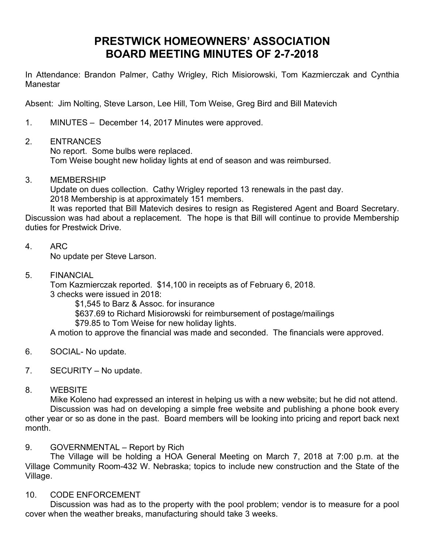## **PRESTWICK HOMEOWNERS' ASSOCIATION BOARD MEETING MINUTES OF 2-7-2018**

In Attendance: Brandon Palmer, Cathy Wrigley, Rich Misiorowski, Tom Kazmierczak and Cynthia **Manestar** 

Absent: Jim Nolting, Steve Larson, Lee Hill, Tom Weise, Greg Bird and Bill Matevich

1. MINUTES – December 14, 2017 Minutes were approved.

## 2. ENTRANCES

No report. Some bulbs were replaced. Tom Weise bought new holiday lights at end of season and was reimbursed.

3. MEMBERSHIP

Update on dues collection. Cathy Wrigley reported 13 renewals in the past day. 2018 Membership is at approximately 151 members.

It was reported that Bill Matevich desires to resign as Registered Agent and Board Secretary. Discussion was had about a replacement. The hope is that Bill will continue to provide Membership duties for Prestwick Drive.

4. ARC

No update per Steve Larson.

5. FINANCIAL

Tom Kazmierczak reported. \$14,100 in receipts as of February 6, 2018. 3 checks were issued in 2018:

\$1,545 to Barz & Assoc. for insurance

\$637.69 to Richard Misiorowski for reimbursement of postage/mailings

\$79.85 to Tom Weise for new holiday lights.

A motion to approve the financial was made and seconded. The financials were approved.

- 6. SOCIAL- No update.
- 7. SECURITY No update.
- 8. WEBSITE

Mike Koleno had expressed an interest in helping us with a new website; but he did not attend. Discussion was had on developing a simple free website and publishing a phone book every other year or so as done in the past. Board members will be looking into pricing and report back next month.

## 9. GOVERNMENTAL – Report by Rich

The Village will be holding a HOA General Meeting on March 7, 2018 at 7:00 p.m. at the Village Community Room-432 W. Nebraska; topics to include new construction and the State of the Village.

## 10. CODE ENFORCEMENT

Discussion was had as to the property with the pool problem; vendor is to measure for a pool cover when the weather breaks, manufacturing should take 3 weeks.